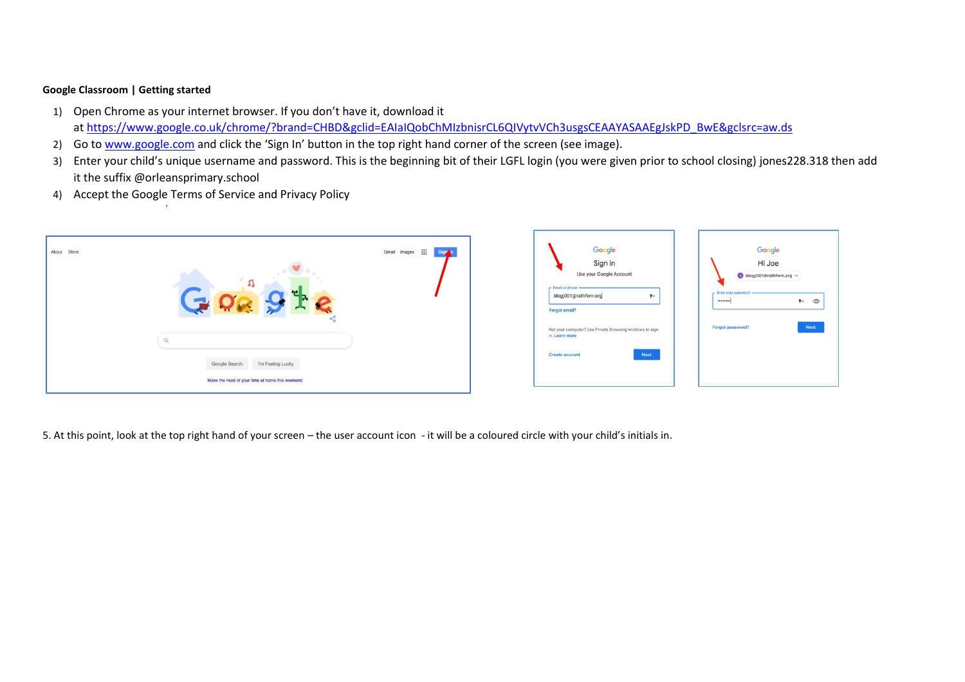## **Google Classroom | Getting started**

- 1) Open Chrome as your internet browser. If you don't have it, download it at https://www.google.co.uk/chrome/?brand=CHBD&gclid=EAIaIQobChMIzbnisrCL6QIVvtvVCh3usgsCEAAYASAAEgJskPD\_BwE&gclsrc=aw.ds
- 2) Go to [www.google.com](http://www.google.com/) and click the 'Sign In' button in the top right hand corner of the screen (see image).
- 3) Enter your child's unique username and password. This is the beginning bit of their LGFL login (you were given prior to school closing) jones228.318 then add it the suffix @orleansprimary.school
- 4) Accept the Google Terms of Service and Privacy Policy

'





5. At this point, look at the top right hand of your screen – the user account icon - it will be a coloured circle with your child's initials in.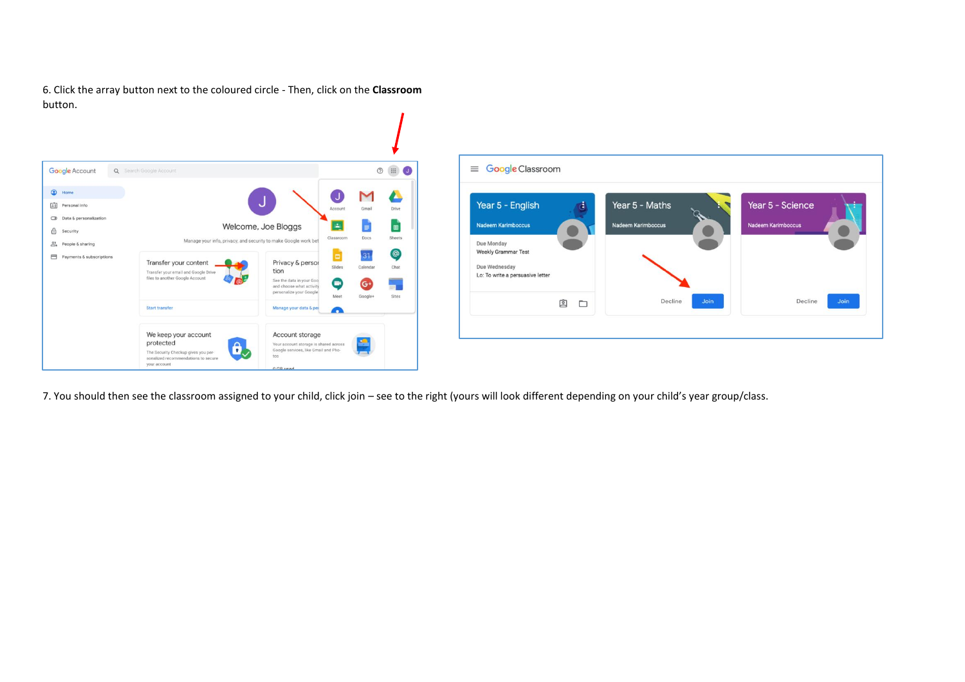6. Click the array button next to the coloured circle - Then, click on the **Classroom**  button.





7. You should then see the classroom assigned to your child, click join – see to the right (yours will look different depending on your child's year group/class.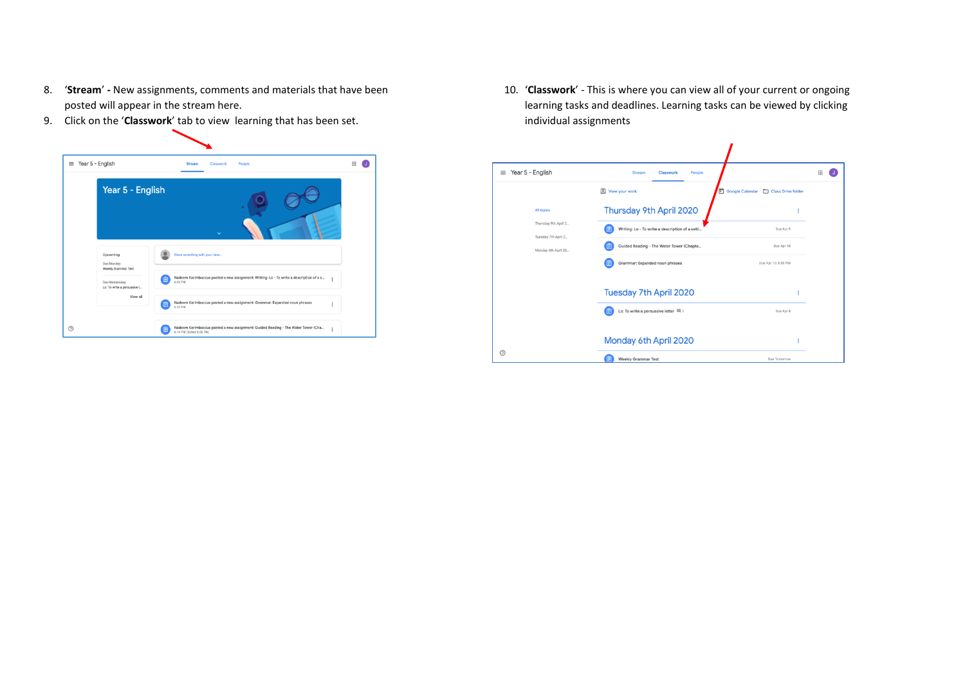- 8. '**Stream**' **-** New assignments, comments and materials that have been posted will appear in the stream here.
- 9. Click on the '**Classwork**' tab to view learning that has been set.



10. '**Classwork**' - This is where you can view all of your current or ongoing learning tasks and deadlines. Learning tasks can be viewed by clicking individual assignments

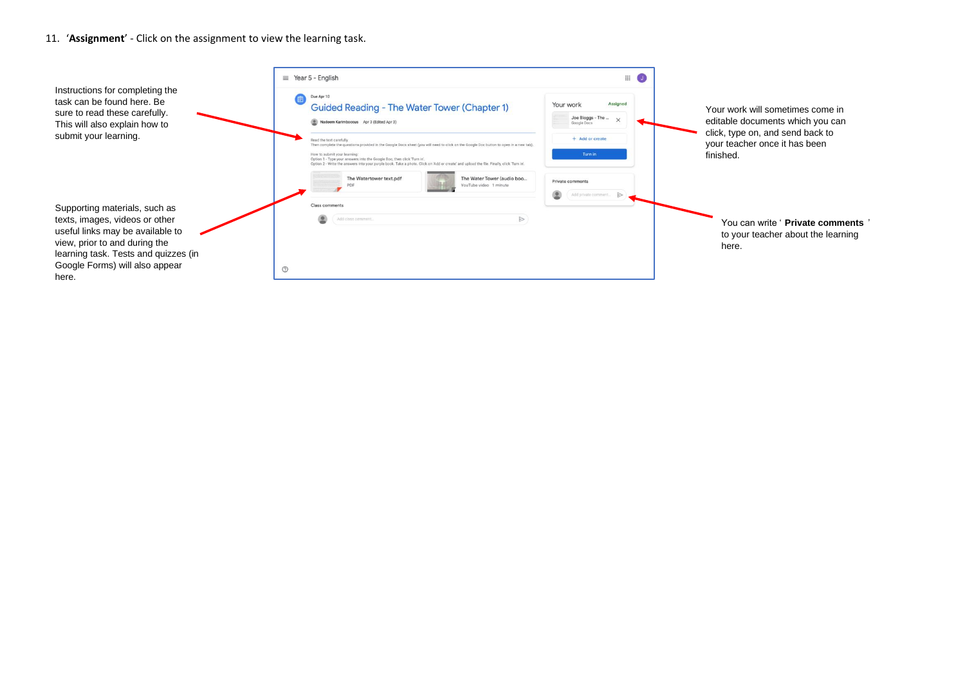## 11. '**Assignment**' - Click on the assignment to view the learning task.

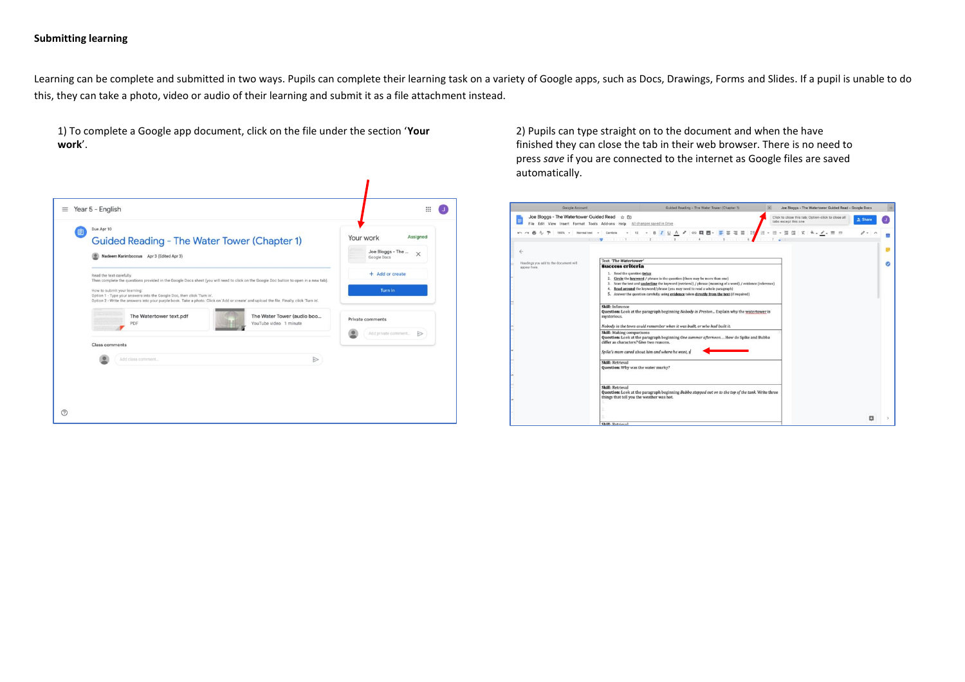## **Submitting learning**

Learning can be complete and submitted in two ways. Pupils can complete their learning task on a variety of Google apps, such as Docs, Drawings, Forms and Slides. If a pupil is unable to do this, they can take a photo, video or audio of their learning and submit it as a file attachment instead.

1) To complete a Google app document, click on the file under the section '**Your work**'.



2) Pupils can type straight on to the document and when the have finished they can close the tab in their web browser. There is no need to press *save* if you are connected to the internet as Google files are saved automatically.

| Google Account                                                                               | Guided Reading - The Water Tower (Chapter 1)<br>$\times$                                                                                                                                                                                                                                                                                                                                                                                                                                                                                                                                                                                                                                                                                                                                                                                                                                                                                                                                                                                 | Joe Bloggs - The Watertower Guided Read - Google Docs                                   |  |
|----------------------------------------------------------------------------------------------|------------------------------------------------------------------------------------------------------------------------------------------------------------------------------------------------------------------------------------------------------------------------------------------------------------------------------------------------------------------------------------------------------------------------------------------------------------------------------------------------------------------------------------------------------------------------------------------------------------------------------------------------------------------------------------------------------------------------------------------------------------------------------------------------------------------------------------------------------------------------------------------------------------------------------------------------------------------------------------------------------------------------------------------|-----------------------------------------------------------------------------------------|--|
| Joe Bloggs - The Watertower Guided Read                                                      | 立向<br>File Edit View Insert Format Tools Add-ons Help All changes saved in Drive                                                                                                                                                                                                                                                                                                                                                                                                                                                                                                                                                                                                                                                                                                                                                                                                                                                                                                                                                         | Click to close this tab; Option-click to close all<br>the Share<br>tabs except this one |  |
| $P = 100\%$ v Normal text v Cambria<br>Headings you add to the document will<br>appear here. | and and another of and the channel benefits of another also<br>Text: The Watertower'<br><b>Success criteria</b><br>1. Read the question twice<br>2. Circle the keyword / phrase in the question (there may be more than one)<br>3. Scan the text and <i>underline</i> the keyword (retrieval) / phrase (meaning of a word) / evidence (inference)<br>4. Read around the keyword/phrase (you may need to read a whole paragraph)<br>5. Answer the question carefully, using evidence taken directly from the text (if required)<br>Skill: Inference<br>Question: Look at the paragraph beginning Nobody in Preston Explain why the watertower is<br>mysterious.<br>Nobody in the town could remember when it was built, or who had built it.<br><b>Skill:</b> Making comparisons<br>Question: Look at the paragraph beginning One summer afternoon How do Spike and Bubba<br>differ as characters? Give two reasons.<br>Spike's mum cared about him and where he went, s<br><b>Skill: Retrieval</b><br>Question: Why was the water murky? |                                                                                         |  |
|                                                                                              | <b>Skill: Retrieval</b><br>Question: Look at the paragraph beginning Bubba stepped out on to the top of the tank. Write three<br>things that tell you the weather was hot.                                                                                                                                                                                                                                                                                                                                                                                                                                                                                                                                                                                                                                                                                                                                                                                                                                                               |                                                                                         |  |
|                                                                                              | <b>Skill-Retrieval</b>                                                                                                                                                                                                                                                                                                                                                                                                                                                                                                                                                                                                                                                                                                                                                                                                                                                                                                                                                                                                                   | o                                                                                       |  |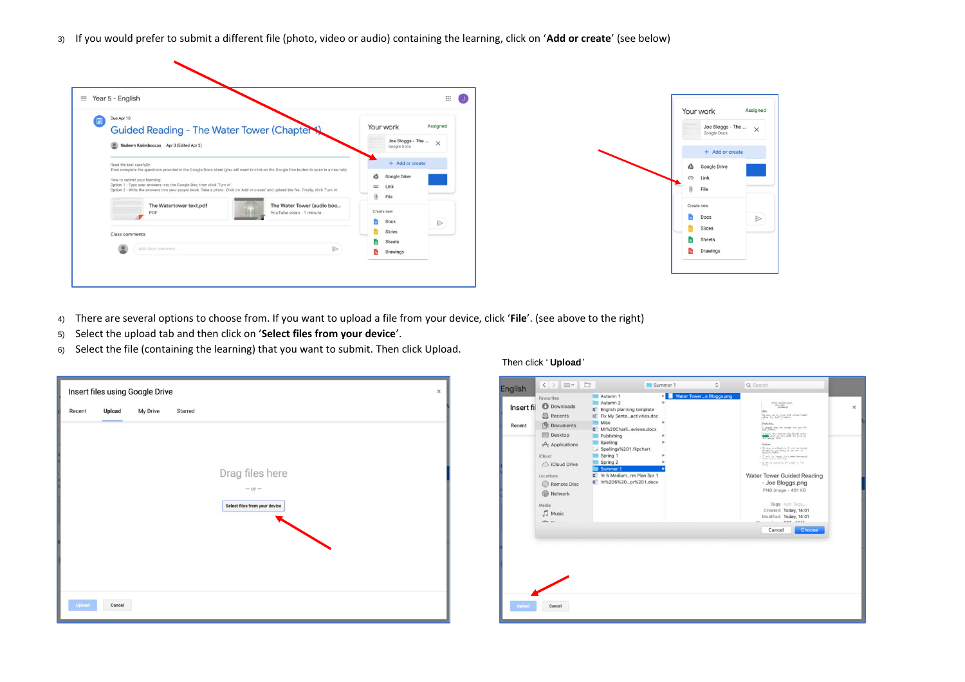3) If you would prefer to submit a different file (photo, video or audio) containing the learning, click on '**Add or create**' (see below)

| $\equiv$ Year 5 - English                                                                                                                                                                                                                                                                                                                                                                                                 | ₩                                                                   | Your work                                          |
|---------------------------------------------------------------------------------------------------------------------------------------------------------------------------------------------------------------------------------------------------------------------------------------------------------------------------------------------------------------------------------------------------------------------------|---------------------------------------------------------------------|----------------------------------------------------|
| Due Apr 10<br>Guided Reading - The Water Tower (Chapter<br>Nadeem Karimboccus Apr 3 (Edited Apr 3)                                                                                                                                                                                                                                                                                                                        | Assigned<br>Your work<br>Joe Bloggs - The $-\times$<br>Google Docs  | Joe Bloggs - The<br>Google Docs<br>+ Add or create |
| Read the text carefully.<br>Then complete the questions provided in the Google Docs sheet (you will need to click on the Google Doc button to open in a new tab).<br>How to submit your learning:<br>Option 1 - Type your answers into the Google Doc, then click 'Turn in'.<br>Option 2 - Write the answers into your purple book. Take a photo. Click on 'Add or create' and upload the file. Finally, click 'Turn in'. | + Add or create<br>$\Delta$<br>Google Drive<br>GD Link<br>File<br>U | ◬<br>Google Drive<br>Link<br>GD<br>Û)<br>File      |
| The Watertower text.pdf<br>The Water Tower (audio boo<br>PDF<br>YouTube video 1 minute<br>Class comments                                                                                                                                                                                                                                                                                                                  | Create new<br>ħ.<br>Docs<br>$\Rightarrow$<br>بسبر<br>Slides         | Create new<br>Docs<br>Slides                       |
| ◉<br>$\triangleright$<br>Add class comment                                                                                                                                                                                                                                                                                                                                                                                | Sheets<br>ш<br>ē.<br>Drawings                                       | Sheets<br>e.<br>Drawings                           |

- 4) There are several options to choose from. If you want to upload a file from your device, click '**File**'. (see above to the right)
- 5) Select the upload tab and then click on '**Select files from your device**'.
- 6) Select the file (containing the learning) that you want to submit. Then click Upload.

|               |        | Insert files using Google Drive |         |                               | $\times$ |
|---------------|--------|---------------------------------|---------|-------------------------------|----------|
| Recent        | Upload | My Drive                        | Starred |                               |          |
|               |        |                                 |         |                               |          |
|               |        |                                 |         |                               |          |
|               |        |                                 |         | Drag files here               |          |
|               |        |                                 |         | $-01 -$                       |          |
|               |        |                                 |         | Select files from your device |          |
|               |        |                                 |         |                               |          |
|               |        |                                 |         |                               |          |
|               |        |                                 |         |                               |          |
|               |        |                                 |         |                               |          |
| <b>Upload</b> | Cancel |                                 |         |                               |          |

## Then click ' **Upload**'